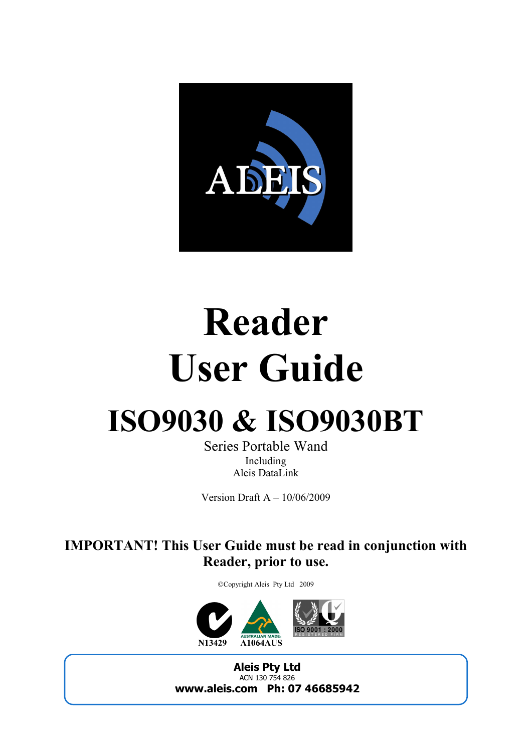

## **Reader User Guide**

## **ISO9030 & ISO9030BT**

Series Portable Wand Including Aleis DataLink

Version Draft A – 10/06/2009

**IMPORTAT! This User Guide must be read in conjunction with Reader, prior to use.** 

Copyright Aleis Pty Ltd 2009



**Aleis Pty Ltd** ACN 130 754 826 **www.aleis.com Ph: 07 46685942**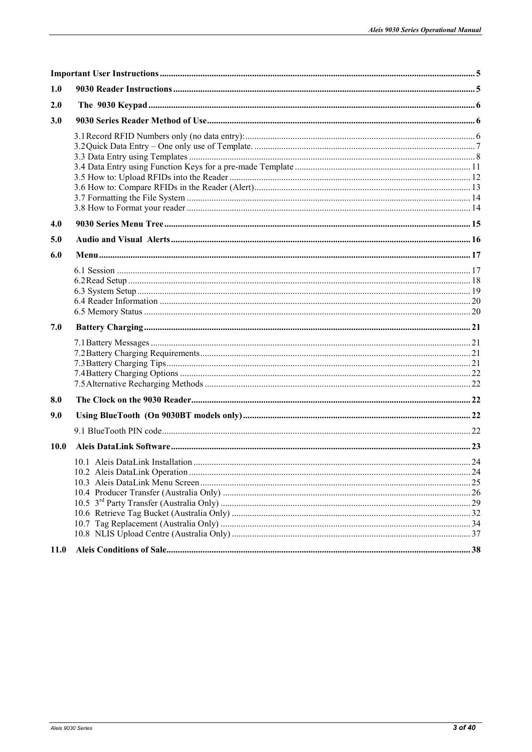| 1.0  |  |
|------|--|
| 2.0  |  |
| 3.0  |  |
|      |  |
|      |  |
|      |  |
|      |  |
|      |  |
|      |  |
| 4.0  |  |
| 5.0  |  |
| 6.0  |  |
|      |  |
|      |  |
|      |  |
|      |  |
|      |  |
| 7.0  |  |
|      |  |
|      |  |
|      |  |
|      |  |
| 8.0  |  |
|      |  |
| 9.0  |  |
|      |  |
| 10.0 |  |
|      |  |
|      |  |
|      |  |
|      |  |
|      |  |
|      |  |
|      |  |
| 11.0 |  |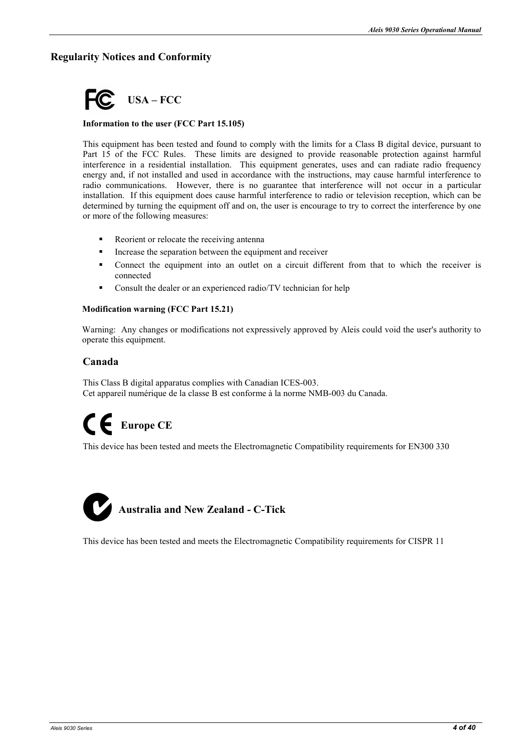#### **Regularity Notices and Conformity**



#### **Information to the user (FCC Part 15.105)**

This equipment has been tested and found to comply with the limits for a Class B digital device, pursuant to Part 15 of the FCC Rules. These limits are designed to provide reasonable protection against harmful interference in a residential installation. This equipment generates, uses and can radiate radio frequency energy and, if not installed and used in accordance with the instructions, may cause harmful interference to radio communications. However, there is no guarantee that interference will not occur in a particular installation. If this equipment does cause harmful interference to radio or television reception, which can be determined by turning the equipment off and on, the user is encourage to try to correct the interference by one or more of the following measures:

- Reorient or relocate the receiving antenna
- Increase the separation between the equipment and receiver
- Connect the equipment into an outlet on a circuit different from that to which the receiver is connected
- Consult the dealer or an experienced radio/TV technician for help

#### **Modification warning (FCC Part 15.21)**

Warning: Any changes or modifications not expressively approved by Aleis could void the user's authority to operate this equipment.

#### **Canada**

This Class B digital apparatus complies with Canadian ICES-003. Cet appareil numérique de la classe B est conforme à la norme NMB-003 du Canada.

### **Europe CE**

This device has been tested and meets the Electromagnetic Compatibility requirements for EN300 330



This device has been tested and meets the Electromagnetic Compatibility requirements for CISPR 11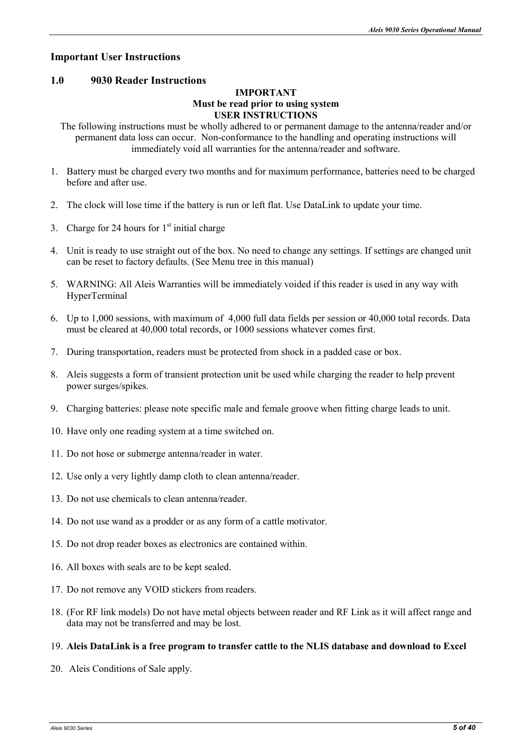#### **Important User Instructions**

#### **1.0 9030 Reader Instructions**

#### **IMPORTANT Must be read prior to using system USER INSTRUCTIONS**

The following instructions must be wholly adhered to or permanent damage to the antenna/reader and/or permanent data loss can occur. Non-conformance to the handling and operating instructions will immediately void all warranties for the antenna/reader and software.

- 1. Battery must be charged every two months and for maximum performance, batteries need to be charged before and after use.
- 2. The clock will lose time if the battery is run or left flat. Use DataLink to update your time.
- 3. Charge for 24 hours for  $1<sup>st</sup>$  initial charge
- 4. Unit is ready to use straight out of the box. No need to change any settings. If settings are changed unit can be reset to factory defaults. (See Menu tree in this manual)
- 5. WARNING: All Aleis Warranties will be immediately voided if this reader is used in any way with HyperTerminal
- 6. Up to 1,000 sessions, with maximum of 4,000 full data fields per session or 40,000 total records. Data must be cleared at 40,000 total records, or 1000 sessions whatever comes first.
- 7. During transportation, readers must be protected from shock in a padded case or box.
- 8. Aleis suggests a form of transient protection unit be used while charging the reader to help prevent power surges/spikes.
- 9. Charging batteries: please note specific male and female groove when fitting charge leads to unit.
- 10. Have only one reading system at a time switched on.
- 11. Do not hose or submerge antenna/reader in water.
- 12. Use only a very lightly damp cloth to clean antenna/reader.
- 13. Do not use chemicals to clean antenna/reader.
- 14. Do not use wand as a prodder or as any form of a cattle motivator.
- 15. Do not drop reader boxes as electronics are contained within.
- 16. All boxes with seals are to be kept sealed.
- 17. Do not remove any VOID stickers from readers.
- 18. (For RF link models) Do not have metal objects between reader and RF Link as it will affect range and data may not be transferred and may be lost.

#### 19. **Aleis DataLink is a free program to transfer cattle to the LIS database and download to Excel**

20. Aleis Conditions of Sale apply.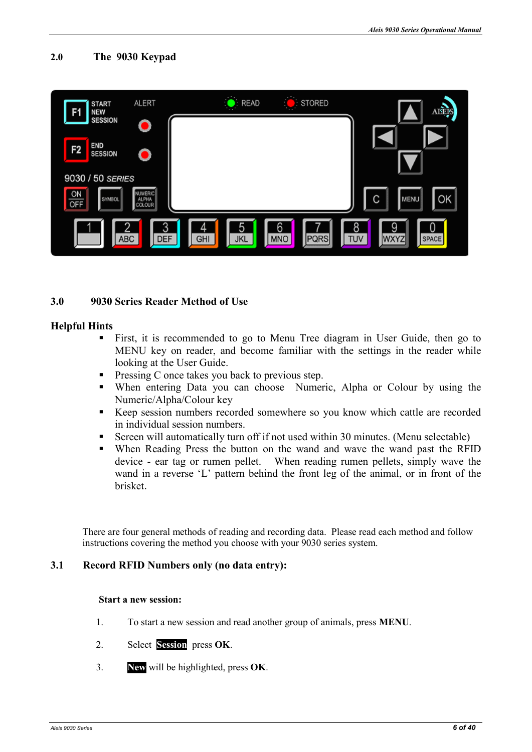#### **2.0 The 9030 Keypad**



#### **3.0 9030 Series Reader Method of Use**

#### **Helpful Hints**

- First, it is recommended to go to Menu Tree diagram in User Guide, then go to MENU key on reader, and become familiar with the settings in the reader while looking at the User Guide.
- **Pressing C** once takes you back to previous step.
- When entering Data you can choose Numeric, Alpha or Colour by using the Numeric/Alpha/Colour key
- Keep session numbers recorded somewhere so you know which cattle are recorded in individual session numbers.
- Screen will automatically turn off if not used within 30 minutes. (Menu selectable)
- When Reading Press the button on the wand and wave the wand past the RFID device - ear tag or rumen pellet. When reading rumen pellets, simply wave the wand in a reverse 'L' pattern behind the front leg of the animal, or in front of the brisket.

There are four general methods of reading and recording data. Please read each method and follow instructions covering the method you choose with your 9030 series system.

#### **3.1** Record RFID Numbers only (no data entry):

#### **Start a new session:**

- 1. To start a new session and read another group of animals, press **MEU**.
- 2. Select **Session** press **OK**.
- 3. **ew** will be highlighted, press **OK**.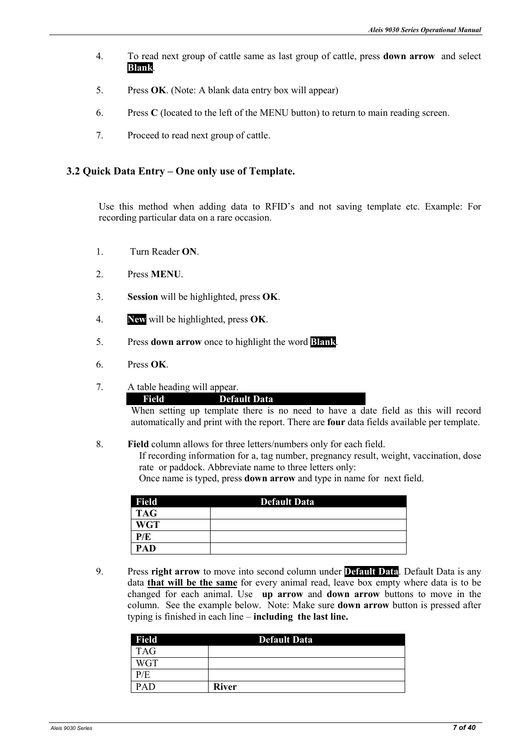- 4. To read next group of cattle same as last group of cattle, press **down arrow** and select **Blank**.**.**
- 5. Press **OK**. (Note: A blank data entry box will appear)
- 6. Press **C** (located to the left of the MENU button) to return to main reading screen.
- 7. Proceed to read next group of cattle.

#### **3.2 Quick Data Entry – One only use of Template.**

Use this method when adding data to RFID's and not saving template etc. Example: For recording particular data on a rare occasion.

- 1. Turn Reader **O**.
- 2 Press **MENU**
- 3. **Session** will be highlighted, press **OK**.
- 4. **ew** will be highlighted, press **OK**.
- 5. Press **down arrow** once to highlight the word **Blank**.
- 6. Press **OK**.
- 7. A table heading will appear.

**Field Default Data** 

When setting up template there is no need to have a date field as this will record automatically and print with the report. There are **four** data fields available per template.

8. **Field** column allows for three letters/numbers only for each field. If recording information for a, tag number, pregnancy result, weight, vaccination, dose rate or paddock. Abbreviate name to three letters only: Once name is typed, press **down arrow** and type in name for next field.

| Field      | <b>Default Data</b> |
|------------|---------------------|
| <b>TAG</b> |                     |
| <b>WGT</b> |                     |
| P/E        |                     |
| PAD        |                     |

9. Press **right arrow** to move into second column under **Default Data**. Default Data is any data **that will be the same** for every animal read, leave box empty where data is to be changed for each animal. Use **up arrow** and **down arrow** buttons to move in the column. See the example below. Note: Make sure **down arrow** button is pressed after typing is finished in each line – **including the last line.** 

| <b>Field</b> | <b>Default Data</b> |
|--------------|---------------------|
| <b>TAG</b>   |                     |
| <b>WGT</b>   |                     |
| P/E          |                     |
| PAD          | <b>River</b>        |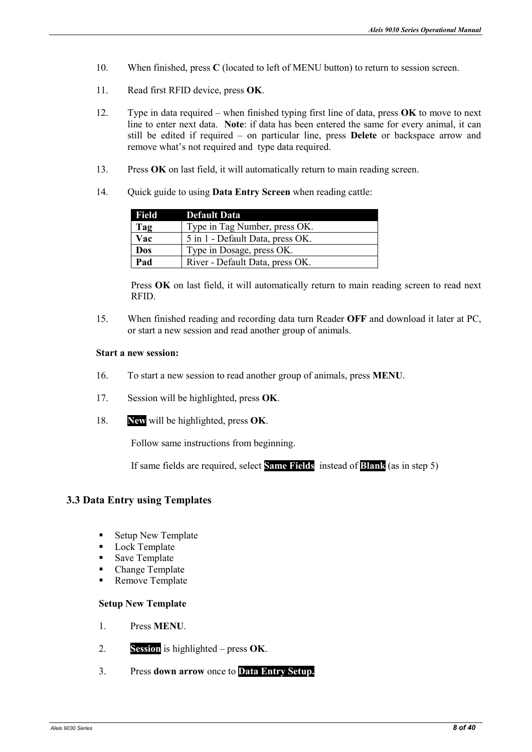- 10. When finished, press **C** (located to left of MENU button) to return to session screen.
- 11. Read first RFID device, press **OK**.
- 12. Type in data required when finished typing first line of data, press **OK** to move to next line to enter next data. **Note**: if data has been entered the same for every animal, it can still be edited if required – on particular line, press **Delete** or backspace arrow and remove what's not required and type data required.
- 13. Press **OK** on last field, it will automatically return to main reading screen.
- 14. Quick guide to using **Data Entry Screen** when reading cattle:

| Field | <b>Default Data</b>              |
|-------|----------------------------------|
| Tag   | Type in Tag Number, press OK.    |
| Vac   | 5 in 1 - Default Data, press OK. |
| Dos   | Type in Dosage, press OK.        |
| Pad   | River - Default Data, press OK.  |

Press **OK** on last field, it will automatically return to main reading screen to read next RFID.

15. When finished reading and recording data turn Reader **OFF** and download it later at PC, or start a new session and read another group of animals.

#### **Start a new session:**

- 16. To start a new session to read another group of animals, press **MEU**.
- 17. Session will be highlighted, press **OK**.
- 18. **ew** will be highlighted, press **OK**.

Follow same instructions from beginning.

If same fields are required, select **Same Fields** instead of **Blank** (as in step 5)

#### **3.3 Data Entry using Templates**

- Setup New Template
- Lock Template
- Save Template
- Change Template
- Remove Template

#### **Setup New Template**

- 1. Press **MEU**.
- 2. **Session** is highlighted press **OK**.
- 3. Press **down arrow** once to **Data Entry Setup.**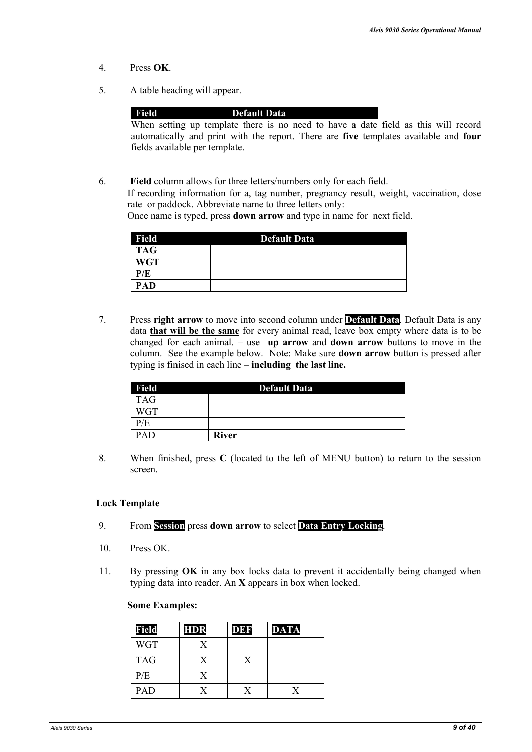- 4. Press **OK**.
- 5. A table heading will appear.

#### **Field Default Data**

When setting up template there is no need to have a date field as this will record automatically and print with the report. There are **five** templates available and **four** fields available per template.

6. **Field** column allows for three letters/numbers only for each field. If recording information for a, tag number, pregnancy result, weight, vaccination, dose rate or paddock. Abbreviate name to three letters only:

Once name is typed, press **down arrow** and type in name for next field.

| <b>Field</b> | <b>Default Data</b> |
|--------------|---------------------|
| <b>TAG</b>   |                     |
| <b>WGT</b>   |                     |
| P/E          |                     |
| <b>PAD</b>   |                     |

7. Press **right arrow** to move into second column under **Default Data**. Default Data is any data **that will be the same** for every animal read, leave box empty where data is to be changed for each animal. – use **up arrow** and **down arrow** buttons to move in the column. See the example below. Note: Make sure **down arrow** button is pressed after typing is finised in each line – **including the last line.** 

| <b>Field</b> | <b>Default Data</b> |
|--------------|---------------------|
| <b>TAG</b>   |                     |
| <b>WGT</b>   |                     |
| P/E          |                     |
|              | <b>River</b>        |

8. When finished, press **C** (located to the left of MENU button) to return to the session screen.

#### **Lock Template**

- 9. From **Session** press **down arrow** to select **Data Entry Locking**.
- 10. Press OK.
- 11. By pressing **OK** in any box locks data to prevent it accidentally being changed when typing data into reader. An **X** appears in box when locked.

#### **Some Examples:**

| <b>Field</b> | <b>HDR</b> | <b>DBR</b> | <b>DATA</b> |
|--------------|------------|------------|-------------|
| <b>WGT</b>   | X          |            |             |
| <b>TAG</b>   | X          | X          |             |
| P/E          | X          |            |             |
| PAD          | Y          | v          | X           |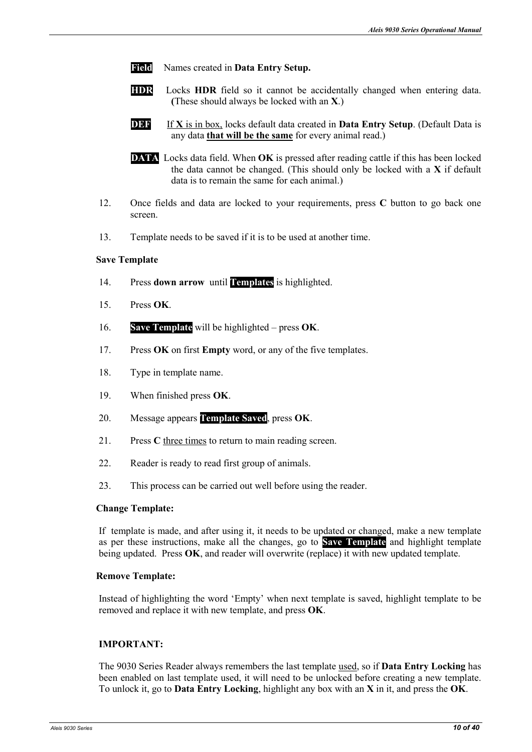- **Field** Names created in **Data Entry Setup.**
- **HDR** Locks **HDR** field so it cannot be accidentally changed when entering data. **(**These should always be locked with an **X**.)
- **DEF** If **X** is in box, locks default data created in **Data Entry Setup**. (Default Data is any data **that will be the same** for every animal read.)
- **DATA** Locks data field. When **OK** is pressed after reading cattle if this has been locked the data cannot be changed. (This should only be locked with a **X** if default data is to remain the same for each animal.)
- 12. Once fields and data are locked to your requirements, press **C** button to go back one screen.
- 13. Template needs to be saved if it is to be used at another time.

#### **Save Template**

- 14. Press **down arrow** until **Templates** is highlighted.
- 15. Press **OK**.
- 16. **Save Template** will be highlighted press **OK**.
- 17. Press **OK** on first **Empty** word, or any of the five templates.
- 18. Type in template name.
- 19. When finished press **OK**.
- 20. Message appears **Template Saved**, press **OK**.
- 21. Press **C** three times to return to main reading screen.
- 22. Reader is ready to read first group of animals.
- 23. This process can be carried out well before using the reader.

#### **Change Template:**

If template is made, and after using it, it needs to be updated or changed, make a new template as per these instructions, make all the changes, go to **Save Template** and highlight template being updated. Press **OK**, and reader will overwrite (replace) it with new updated template.

#### **Remove Template:**

Instead of highlighting the word 'Empty' when next template is saved, highlight template to be removed and replace it with new template, and press **OK**.

#### **IMPORTANT:**

The 9030 Series Reader always remembers the last template used, so if **Data Entry Locking** has been enabled on last template used, it will need to be unlocked before creating a new template. To unlock it, go to **Data Entry Locking**, highlight any box with an **X** in it, and press the **OK**.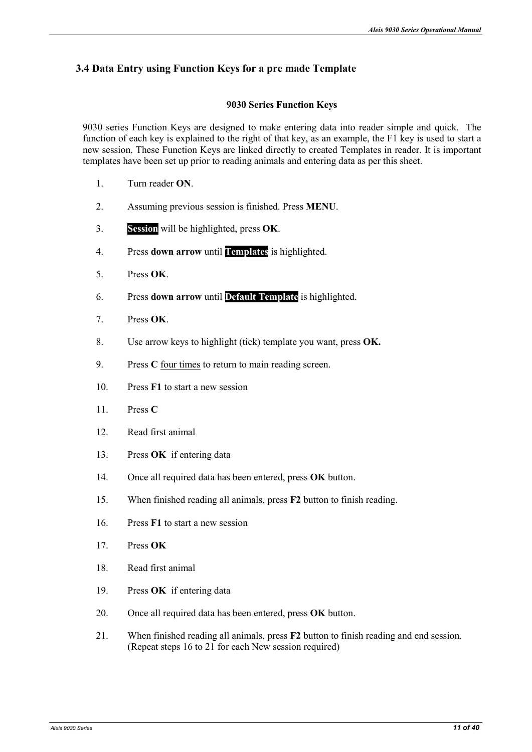#### **3.4 Data Entry using Function Keys for a pre made Template**

#### **9030 Series Function Keys**

9030 series Function Keys are designed to make entering data into reader simple and quick. The function of each key is explained to the right of that key, as an example, the F1 key is used to start a new session. These Function Keys are linked directly to created Templates in reader. It is important templates have been set up prior to reading animals and entering data as per this sheet.

- 1. Turn reader **O**.
- 2. Assuming previous session is finished. Press **MEU**.
- 3. **Session** will be highlighted, press **OK**.
- 4. Press **down arrow** until **Templates** is highlighted.
- 5. Press **OK**.
- 6. Press **down arrow** until **Default Template** is highlighted.
- 7. Press **OK**.
- 8. Use arrow keys to highlight (tick) template you want, press **OK.**
- 9. Press **C** four times to return to main reading screen.
- 10. Press **F1** to start a new session
- 11. Press **C**
- 12. Read first animal
- 13. Press **OK** if entering data
- 14. Once all required data has been entered, press **OK** button.
- 15. When finished reading all animals, press **F2** button to finish reading.
- 16. Press **F1** to start a new session
- 17. Press **OK**
- 18. Read first animal
- 19. Press **OK** if entering data
- 20. Once all required data has been entered, press **OK** button.
- 21. When finished reading all animals, press **F2** button to finish reading and end session. (Repeat steps 16 to 21 for each New session required)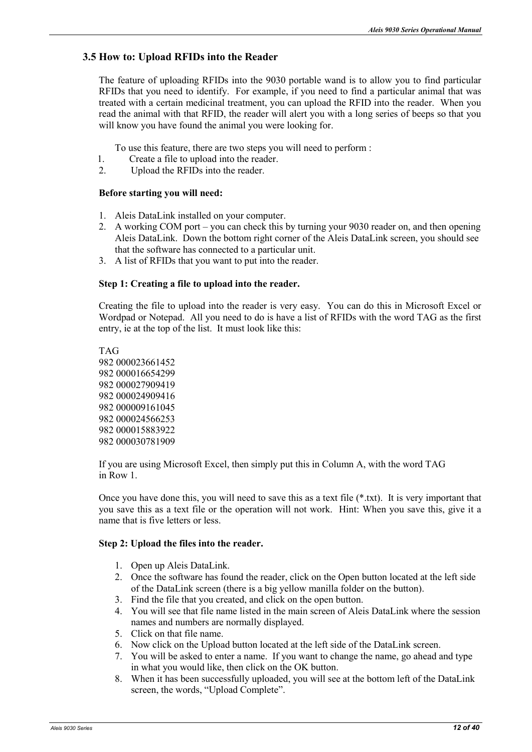#### **3.5 How to: Upload RFIDs into the Reader**

The feature of uploading RFIDs into the 9030 portable wand is to allow you to find particular RFIDs that you need to identify. For example, if you need to find a particular animal that was treated with a certain medicinal treatment, you can upload the RFID into the reader. When you read the animal with that RFID, the reader will alert you with a long series of beeps so that you will know you have found the animal you were looking for.

To use this feature, there are two steps you will need to perform :

- 1. Create a file to upload into the reader.<br>2. Upload the RFIDs into the reader.
- Upload the RFIDs into the reader.

#### **Before starting you will need:**

- 1. Aleis DataLink installed on your computer.
- 2. A working COM port you can check this by turning your 9030 reader on, and then opening Aleis DataLink. Down the bottom right corner of the Aleis DataLink screen, you should see that the software has connected to a particular unit.
- 3. A list of RFIDs that you want to put into the reader.

#### **Step 1: Creating a file to upload into the reader.**

Creating the file to upload into the reader is very easy. You can do this in Microsoft Excel or Wordpad or Notepad. All you need to do is have a list of RFIDs with the word TAG as the first entry, ie at the top of the list. It must look like this:

If you are using Microsoft Excel, then simply put this in Column A, with the word TAG in Row 1.

Once you have done this, you will need to save this as a text file (\*.txt). It is very important that you save this as a text file or the operation will not work. Hint: When you save this, give it a name that is five letters or less.

#### **Step 2: Upload the files into the reader.**

- 1. Open up Aleis DataLink.
- 2. Once the software has found the reader, click on the Open button located at the left side of the DataLink screen (there is a big yellow manilla folder on the button).
- 3. Find the file that you created, and click on the open button.
- 4. You will see that file name listed in the main screen of Aleis DataLink where the session names and numbers are normally displayed.
- 5. Click on that file name.
- 6. Now click on the Upload button located at the left side of the DataLink screen.
- 7. You will be asked to enter a name. If you want to change the name, go ahead and type in what you would like, then click on the OK button.
- 8. When it has been successfully uploaded, you will see at the bottom left of the DataLink screen, the words, "Upload Complete".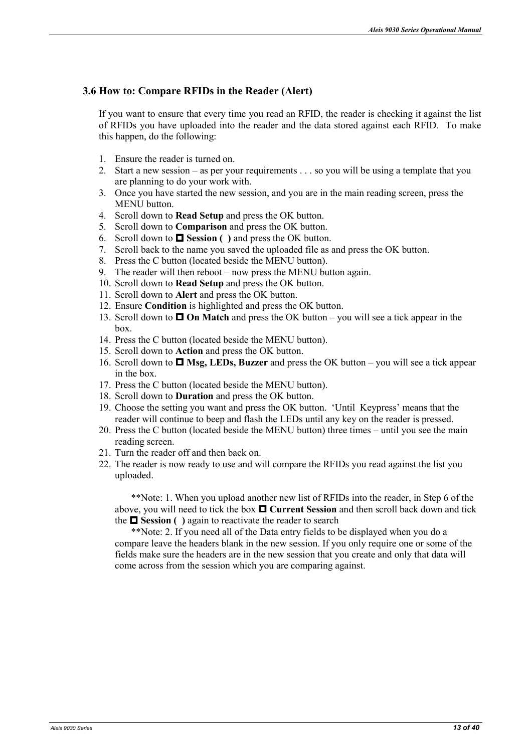#### **3.6 How to: Compare RFIDs in the Reader (Alert)**

If you want to ensure that every time you read an RFID, the reader is checking it against the list of RFIDs you have uploaded into the reader and the data stored against each RFID. To make this happen, do the following:

- 1. Ensure the reader is turned on.
- 2. Start a new session as per your requirements . . . so you will be using a template that you are planning to do your work with.
- 3. Once you have started the new session, and you are in the main reading screen, press the MENU button.
- 4. Scroll down to **Read Setup** and press the OK button.
- 5. Scroll down to **Comparison** and press the OK button.
- 6. Scroll down to  $\Box$  **Session** ( ) and press the OK button.
- 7. Scroll back to the name you saved the uploaded file as and press the OK button.
- 8. Press the C button (located beside the MENU button).
- 9. The reader will then reboot now press the MENU button again.
- 10. Scroll down to **Read Setup** and press the OK button.
- 11. Scroll down to **Alert** and press the OK button.
- 12. Ensure **Condition** is highlighted and press the OK button.
- 13. Scroll down to  $\Box$  On Match and press the OK button you will see a tick appear in the box.
- 14. Press the C button (located beside the MENU button).
- 15. Scroll down to **Action** and press the OK button.
- 16. Scroll down to  $\Box$  Msg, LEDs, Buzzer and press the OK button you will see a tick appear in the box.
- 17. Press the C button (located beside the MENU button).
- 18. Scroll down to **Duration** and press the OK button.
- 19. Choose the setting you want and press the OK button. 'Until Keypress' means that the reader will continue to beep and flash the LEDs until any key on the reader is pressed.
- 20. Press the C button (located beside the MENU button) three times until you see the main reading screen.
- 21. Turn the reader off and then back on.
- 22. The reader is now ready to use and will compare the RFIDs you read against the list you uploaded.

\*\*Note: 1. When you upload another new list of RFIDs into the reader, in Step 6 of the above, you will need to tick the box  $\Box$  Current Session and then scroll back down and tick the  $\square$  Session ( ) again to reactivate the reader to search

\*\*Note: 2. If you need all of the Data entry fields to be displayed when you do a compare leave the headers blank in the new session. If you only require one or some of the fields make sure the headers are in the new session that you create and only that data will come across from the session which you are comparing against.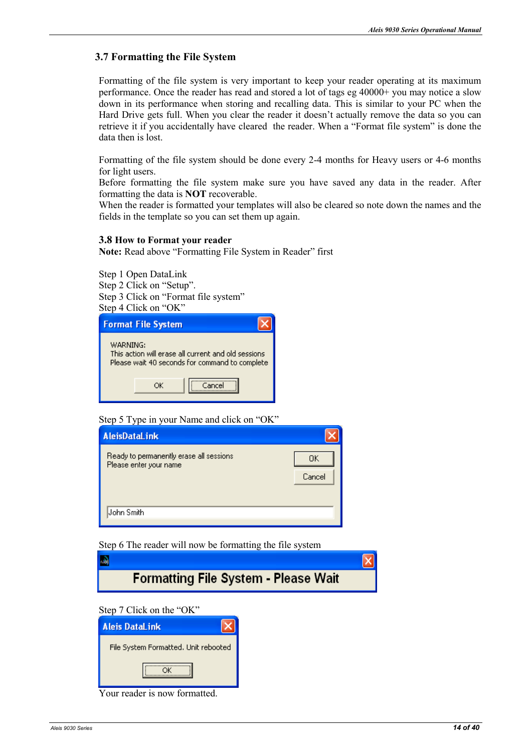#### **3.7 Formatting the File System**

Formatting of the file system is very important to keep your reader operating at its maximum performance. Once the reader has read and stored a lot of tags eg 40000+ you may notice a slow down in its performance when storing and recalling data. This is similar to your PC when the Hard Drive gets full. When you clear the reader it doesn't actually remove the data so you can retrieve it if you accidentally have cleared the reader. When a "Format file system" is done the data then is lost.

Formatting of the file system should be done every 2-4 months for Heavy users or 4-6 months for light users.

Before formatting the file system make sure you have saved any data in the reader. After formatting the data is **NOT** recoverable.

When the reader is formatted your templates will also be cleared so note down the names and the fields in the template so you can set them up again.

#### **3.8 How to Format your reader**

Note: Read above "Formatting File System in Reader" first

Step 1 Open DataLink Step 2 Click on "Setup". Step 3 Click on "Format file system" Step 4 Click on "OK"

| <b>Format File System</b> |    |                                                     |                                                |
|---------------------------|----|-----------------------------------------------------|------------------------------------------------|
| WARNING:                  |    | This action will erase all current and old sessions | Please wait 40 seconds for command to complete |
|                           | OК | Cancel                                              |                                                |

#### Step 5 Type in your Name and click on "OK"

| <b>AleisDataLink</b>                                              |              |
|-------------------------------------------------------------------|--------------|
| Ready to permanently erase all sessions<br>Please enter your name | OΚ<br>Cancel |
| John Smith                                                        |              |

Step 6 The reader will now be formatting the file system

| 國 |                                             |  |
|---|---------------------------------------------|--|
|   | <b>Formatting File System - Please Wait</b> |  |

Step 7 Click on the "OK"

| <b>Aleis DataLink</b>                |
|--------------------------------------|
| File System Formatted, Unit rebooted |
|                                      |

Your reader is now formatted.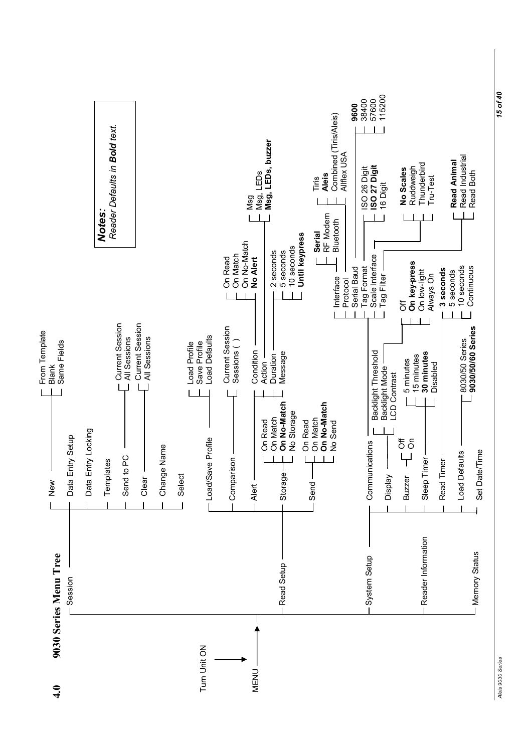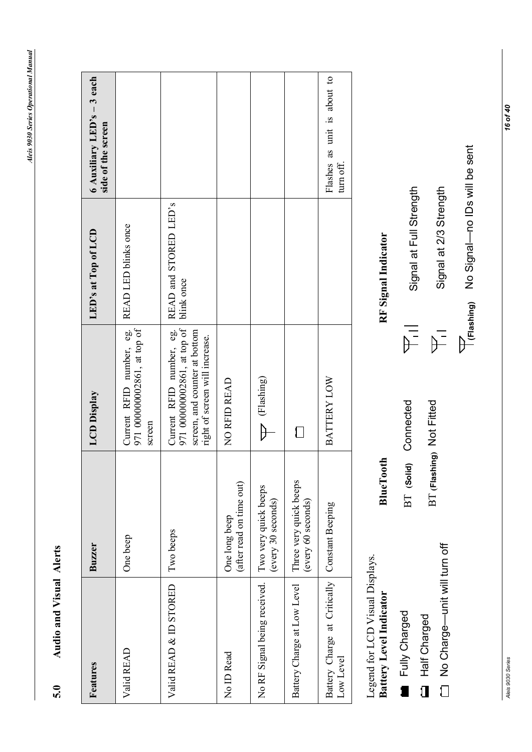Aleis 9030 Series Operational Manual *Aleis 9030 Series Operational Manual* 

# Audio and Visual Alerts **5.0 Audio and Visual Alerts**   $5.0$

| Features                                  | Buzzer                                       | <b>LCD</b> Display                                                                                                         | LED's at Top of LCD                 | 6 Auxiliary LED's - 3 each<br>side of the screen |
|-------------------------------------------|----------------------------------------------|----------------------------------------------------------------------------------------------------------------------------|-------------------------------------|--------------------------------------------------|
| Valid READ                                | One beep                                     | Current RFID number, eg.<br>971 000000002861, at top of<br>screen                                                          | READ LED blinks once                |                                                  |
| Valid READ & ID STORED                    | Two beeps                                    | 971 000000002861, at top of<br>Current RFID number, eg.<br>screen, and counter at bottom<br>right of screen will increase. | READ and STORED LED's<br>blink once |                                                  |
| No ID Read                                | (after read on time out)<br>One long beep    | NO RFID READ                                                                                                               |                                     |                                                  |
| No RF Signal being received.              | Two very quick beeps<br>(every 30 seconds)   | (Flashing)                                                                                                                 |                                     |                                                  |
| Battery Charge at Low Level               | Three very quick beeps<br>(every 60 seconds) |                                                                                                                            |                                     |                                                  |
| Battery Charge at Critically<br>Low Level | <b>Constant Beeping</b>                      | BATTERY LOW                                                                                                                |                                     | Flashes as unit is about to<br>turn off.         |
| Legend for LCD Visual Displays.           |                                              |                                                                                                                            |                                     |                                                  |

**Battery Level Indicator BlueTooth RF Signal Indicator**  BT **(Solid)** Connected **BT** (Solid) Connected **BT** (Flashing) Not Fitted BT **(Flashing)** Not Fitted **BlueTooth** Legend for LCD Visual Displays.<br>**Battery Level Indicator** Fully Charged Fully Charged Half Charged Half Charged

No Charge—unit will turn off

No Charge-unit will turn off

RF Signal Indicator

Signal at Full Strength Signal at Full Strength  $\frac{1}{\sum_{i=1}^{n}}$ 

Signal at 2/3 Strength Signal at 2/3 Strength  $\mathbb{P}^{\equiv}$  Frashing) No Signal-no IDs will be sent No Signal—no IDs will be sent **(Flashing)** 

*Aleis 9030 Series 16 of 40* Aleis 9030 Series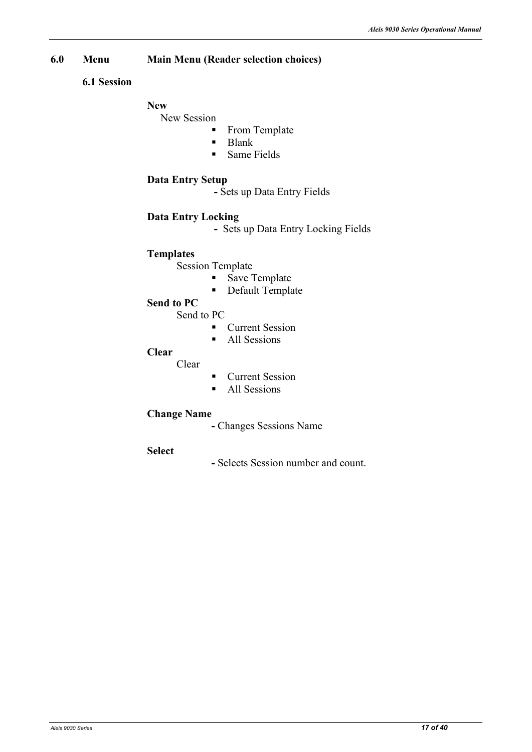#### **6.0 Menu Main Menu (Reader selection choices)**

#### **6.1 Session**

#### New

#### New Session

- From Template<br>Rlank
- Blank
- **Same Fields**

#### **Data Entry Setup**

 **-** Sets up Data Entry Fields

#### **Data Entry Locking**

 **-** Sets up Data Entry Locking Fields

#### **Templates**

Session Template

- Save Template
- Default Template

#### **Send to PC**

Send to PC

- **Current Session**
- All Sessions

#### **Clear**

Clear

- **Current Session**
- All Sessions

#### **Change Name**

- Changes Sessions Name
- **Select**
- Selects Session number and count.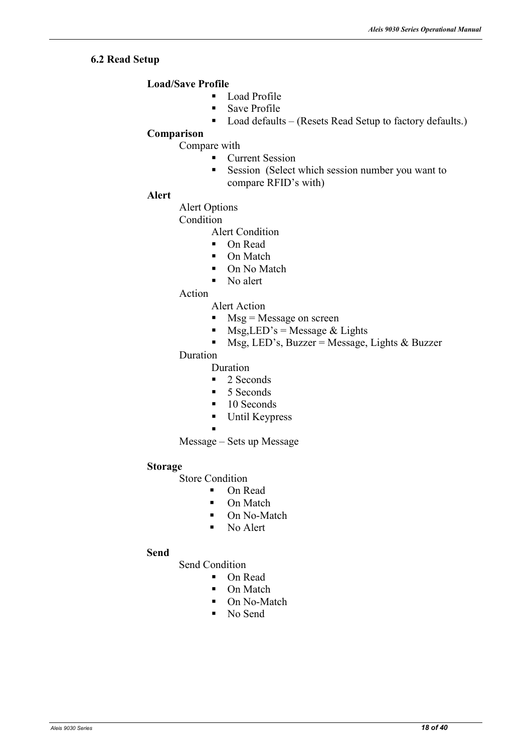#### **6.2 Read Setup**

#### **Load/Save Profile**

- **Load Profile**
- Save Profile
- Load defaults (Resets Read Setup to factory defaults.)

#### **Comparison**

Compare with

- **Current Session**
- Session (Select which session number you want to compare RFID's with)

#### **Alert**

Alert Options

Condition

- Alert Condition
- On Read
- On Match
- On No Match
- No alert
- Action

Alert Action

- $Msg = Message on screen$
- $Msg, LED's = Message & Lights$
- $MSg, LED's, Buzzer = Message, Lights & Buzzer$

Duration

- Duration
- $\blacksquare$  2 Seconds
- $\blacksquare$  5 Seconds
- $\blacksquare$  10 Seconds
- **Until Keypress**
- $\blacksquare$

Message – Sets up Message

#### **Storage**

Store Condition

- On Read
- On Match
- On No-Match
- No Alert

#### **Send**

Send Condition

- On Read
	- On Match
	- On No-Match
	- No Send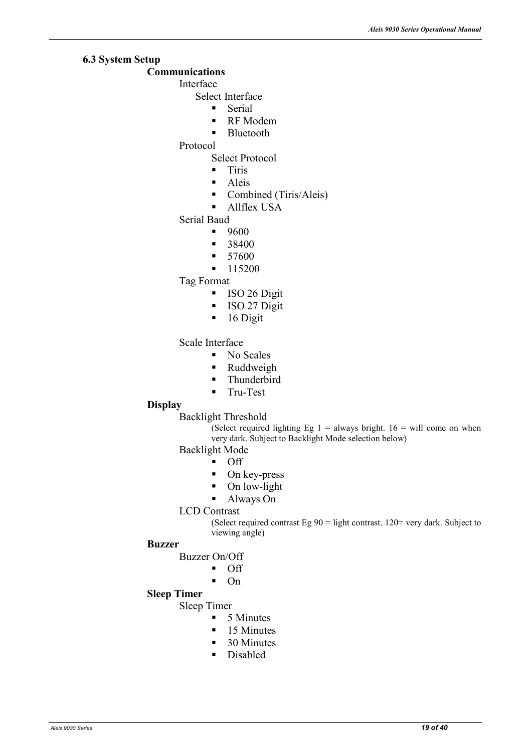#### **6.3 System Setup**

#### **Communications**

Interface

- Select Interface
	- **Serial**
	- RF Modem
	- **Bluetooth**
- Protocol
	- Select Protocol
	- **Tiris**
	- **Aleis**
	- Combined (Tiris/Aleis)
	- **Allflex USA**

#### Serial Baud

- $9600$
- 38400
- $-57600$
- $-115200$

Tag Format

- **ISO 26 Digit**
- **ISO 27 Digit**
- $\blacksquare$  16 Digit

Scale Interface

- No Scales
- Ruddweigh
- Thunderbird
- **Tru-Test**

#### **Display**

Backlight Threshold

(Select required lighting Eg  $1 =$  always bright.  $16 =$  will come on when very dark. Subject to Backlight Mode selection below)

- Backlight Mode
	- $\blacksquare$  Off
	- On key-press
	- On low-light
	- Always On

LCD Contrast

(Select required contrast Eg  $90 =$  light contrast. 120= very dark. Subject to viewing angle)

#### **Buzzer**

Buzzer On/Off

- Off
- $\blacksquare$  On

#### **Sleep Timer**

Sleep Timer

- $\blacksquare$  5 Minutes
- $\blacksquare$  15 Minutes
- $\blacksquare$  30 Minutes
- Disabled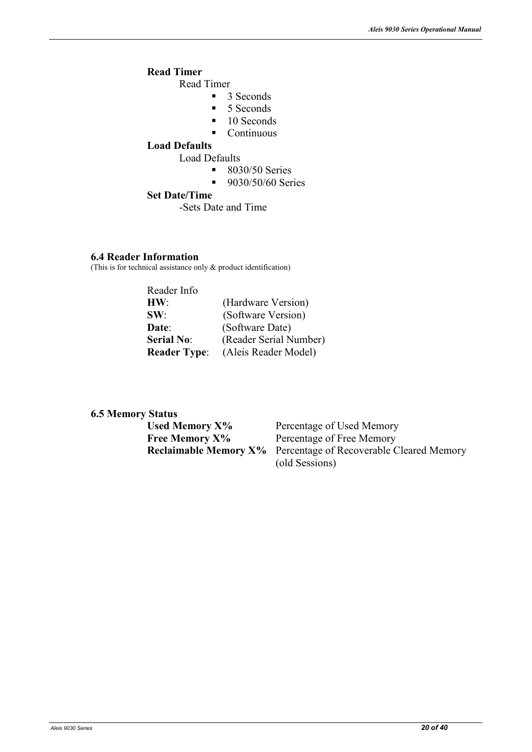#### **Read Timer**

Read Timer

- 3 Seconds
- 5 Seconds
- 10 Seconds
- $\blacksquare$  Continuous

#### **Load Defaults**

Load Defaults

- $8030/50$  Series<br>9030/50/60 Ser
- 9030/50/60 Series

#### **Set Date/Time**

-Sets Date and Time

#### **6.4 Reader Information**

(This is for technical assistance only & product identification)

| Reader Info         |                        |
|---------------------|------------------------|
| HW:                 | (Hardware Version)     |
| SW:                 | (Software Version)     |
| Date:               | (Software Date)        |
| <b>Serial No:</b>   | (Reader Serial Number) |
| <b>Reader Type:</b> | (Aleis Reader Model)   |

#### **6.5 Memory Status**

| Percentage of Used Memory                                             |
|-----------------------------------------------------------------------|
| Percentage of Free Memory                                             |
| <b>Reclaimable Memory X%</b> Percentage of Recoverable Cleared Memory |
| (old Sessions)                                                        |
|                                                                       |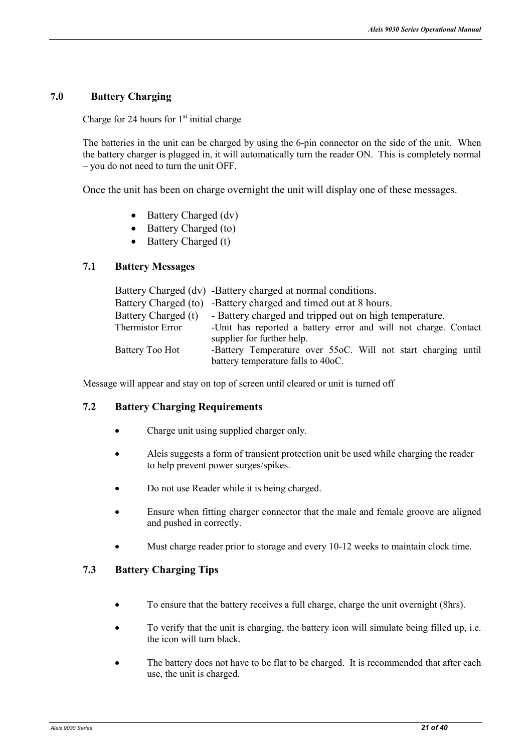#### **7.0 Battery Charging**

Charge for 24 hours for  $1<sup>st</sup>$  initial charge

The batteries in the unit can be charged by using the 6-pin connector on the side of the unit. When the battery charger is plugged in, it will automatically turn the reader ON. This is completely normal – you do not need to turn the unit OFF.

Once the unit has been on charge overnight the unit will display one of these messages.

- Battery Charged (dv)
- Battery Charged (to)
- Battery Charged (t)

#### **7.1 Battery Messages**

|                     | Battery Charged (dv) -Battery charged at normal conditions.     |  |
|---------------------|-----------------------------------------------------------------|--|
|                     | Battery Charged (to) -Battery charged and timed out at 8 hours. |  |
| Battery Charged (t) | - Battery charged and tripped out on high temperature.          |  |
| Thermistor Error    | -Unit has reported a battery error and will not charge. Contact |  |
|                     | supplier for further help.                                      |  |
| Battery Too Hot     | -Battery Temperature over 55oC. Will not start charging until   |  |
|                     | battery temperature falls to 40oC.                              |  |

Message will appear and stay on top of screen until cleared or unit is turned off

#### **7.2 Battery Charging Requirements**

- Charge unit using supplied charger only.
- Aleis suggests a form of transient protection unit be used while charging the reader to help prevent power surges/spikes.
- Do not use Reader while it is being charged.
- Ensure when fitting charger connector that the male and female groove are aligned and pushed in correctly.
- Must charge reader prior to storage and every 10-12 weeks to maintain clock time.

#### **7.3 Battery Charging Tips**

- To ensure that the battery receives a full charge, charge the unit overnight (8hrs).
- To verify that the unit is charging, the battery icon will simulate being filled up, i.e. the icon will turn black.
- The battery does not have to be flat to be charged. It is recommended that after each use, the unit is charged.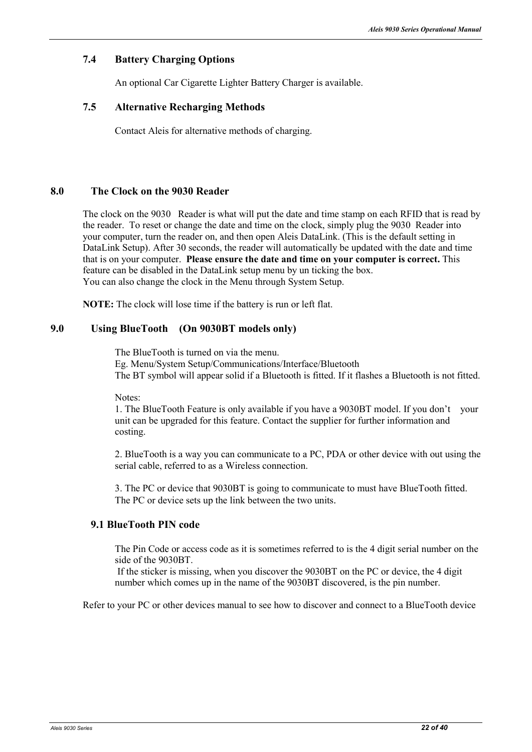#### **7.4 Battery Charging Options**

An optional Car Cigarette Lighter Battery Charger is available.

#### **7.5 Alternative Recharging Methods**

Contact Aleis for alternative methods of charging.

#### **8.0 The Clock on the 9030 Reader**

The clock on the 9030 Reader is what will put the date and time stamp on each RFID that is read by the reader. To reset or change the date and time on the clock, simply plug the 9030 Reader into your computer, turn the reader on, and then open Aleis DataLink. (This is the default setting in DataLink Setup). After 30 seconds, the reader will automatically be updated with the date and time that is on your computer. **Please ensure the date and time on your computer is correct.** This feature can be disabled in the DataLink setup menu by un ticking the box. You can also change the clock in the Menu through System Setup.

**NOTE:** The clock will lose time if the battery is run or left flat.

#### **9.0 Using BlueTooth (On 9030BT models only)**

The BlueTooth is turned on via the menu. Eg. Menu/System Setup/Communications/Interface/Bluetooth The BT symbol will appear solid if a Bluetooth is fitted. If it flashes a Bluetooth is not fitted.

Notes:

1. The BlueTooth Feature is only available if you have a 9030BT model. If you don't your unit can be upgraded for this feature. Contact the supplier for further information and costing.

2. BlueTooth is a way you can communicate to a PC, PDA or other device with out using the serial cable, referred to as a Wireless connection.

3. The PC or device that 9030BT is going to communicate to must have BlueTooth fitted. The PC or device sets up the link between the two units.

#### **9.1 BlueTooth PIN code**

The Pin Code or access code as it is sometimes referred to is the 4 digit serial number on the side of the 9030BT.

 If the sticker is missing, when you discover the 9030BT on the PC or device, the 4 digit number which comes up in the name of the 9030BT discovered, is the pin number.

Refer to your PC or other devices manual to see how to discover and connect to a BlueTooth device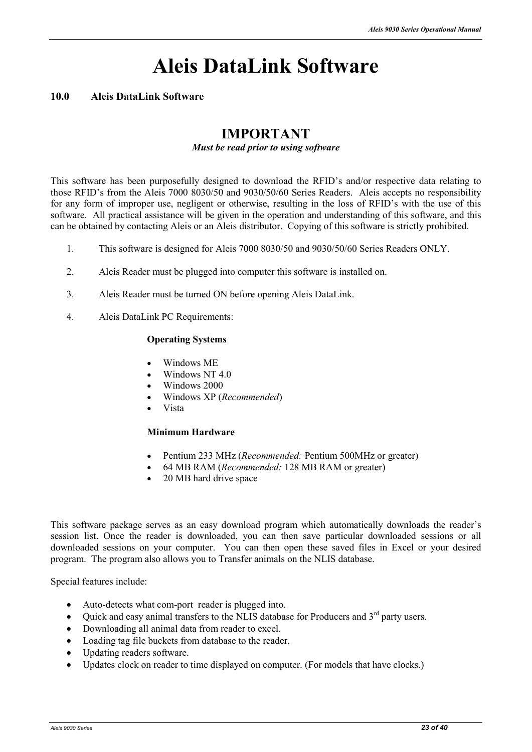### **Aleis DataLink Software**

#### **10.0 Aleis DataLink Software**

#### **IMPORTANT**

#### *Must be read prior to using software*

This software has been purposefully designed to download the RFID's and/or respective data relating to those RFID's from the Aleis 7000 8030/50 and 9030/50/60 Series Readers. Aleis accepts no responsibility for any form of improper use, negligent or otherwise, resulting in the loss of RFID's with the use of this software. All practical assistance will be given in the operation and understanding of this software, and this can be obtained by contacting Aleis or an Aleis distributor. Copying of this software is strictly prohibited.

- 1. This software is designed for Aleis 7000 8030/50 and 9030/50/60 Series Readers ONLY.
- 2. Aleis Reader must be plugged into computer this software is installed on.
- 3. Aleis Reader must be turned ON before opening Aleis DataLink.
- 4. Aleis DataLink PC Requirements:

#### **Operating Systems**

- Windows ME
- Windows NT 4.0
- Windows 2000
- Windows XP (*Recommended*)
- Vista

#### **Minimum Hardware**

- Pentium 233 MHz (*Recommended:* Pentium 500MHz or greater)
- 64 MB RAM (*Recommended:* 128 MB RAM or greater)
- 20 MB hard drive space

This software package serves as an easy download program which automatically downloads the reader's session list. Once the reader is downloaded, you can then save particular downloaded sessions or all downloaded sessions on your computer. You can then open these saved files in Excel or your desired program. The program also allows you to Transfer animals on the NLIS database.

Special features include:

- Auto-detects what com-port reader is plugged into.
- Quick and easy animal transfers to the NLIS database for Producers and  $3<sup>rd</sup>$  party users.
- Downloading all animal data from reader to excel.
- Loading tag file buckets from database to the reader.
- Updating readers software.
- Updates clock on reader to time displayed on computer. (For models that have clocks.)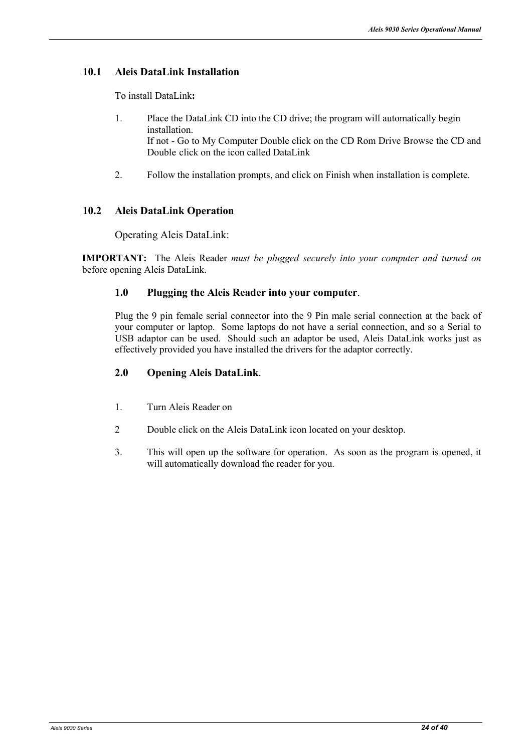#### **10.1 Aleis DataLink Installation**

To install DataLink**:** 

- 1. Place the DataLink CD into the CD drive; the program will automatically begin installation. If not - Go to My Computer Double click on the CD Rom Drive Browse the CD and Double click on the icon called DataLink
- 2. Follow the installation prompts, and click on Finish when installation is complete.

#### **10.2 Aleis DataLink Operation**

Operating Aleis DataLink:

**IMPORTAT:** The Aleis Reader *must be plugged securely into your computer and turned on* before opening Aleis DataLink.

#### **1.0 Plugging the Aleis Reader into your computer**.

Plug the 9 pin female serial connector into the 9 Pin male serial connection at the back of your computer or laptop. Some laptops do not have a serial connection, and so a Serial to USB adaptor can be used. Should such an adaptor be used, Aleis DataLink works just as effectively provided you have installed the drivers for the adaptor correctly.

#### **2.0 Opening Aleis DataLink**.

- 1. Turn Aleis Reader on
- 2 Double click on the Aleis DataLink icon located on your desktop.
- 3. This will open up the software for operation. As soon as the program is opened, it will automatically download the reader for you.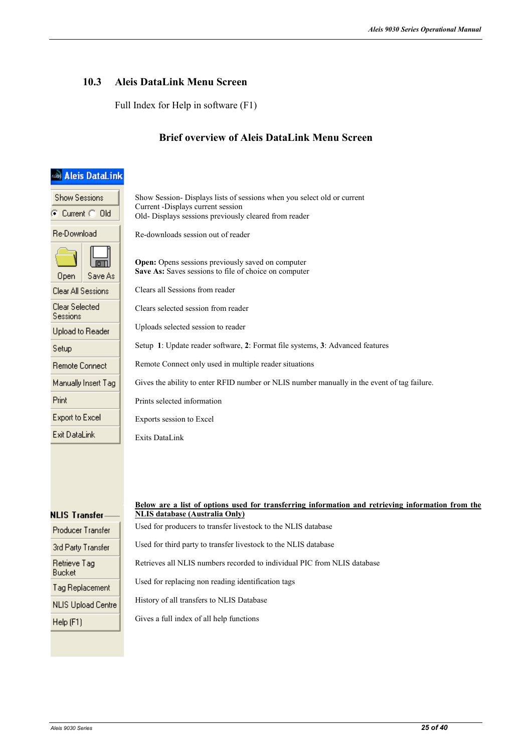#### **10.3 Aleis DataLink Menu Screen**

Full Index for Help in software (F1)

#### **Brief overview of Aleis DataLink Menu Screen**

| <b>Aleis DataLink</b>                   |                                                                                                                                                                       |
|-----------------------------------------|-----------------------------------------------------------------------------------------------------------------------------------------------------------------------|
| <b>Show Sessions</b><br>C Current C Old | Show Session- Displays lists of sessions when you select old or current<br>Current -Displays current session<br>Old- Displays sessions previously cleared from reader |
| Re-Download                             | Re-downloads session out of reader                                                                                                                                    |
| <b>Open</b><br>Save As                  | <b>Open:</b> Opens sessions previously saved on computer<br>Save As: Saves sessions to file of choice on computer                                                     |
| Clear All Sessions                      | Clears all Sessions from reader                                                                                                                                       |
| Clear Selected<br>Sessions              | Clears selected session from reader                                                                                                                                   |
| Upload to Reader                        | Uploads selected session to reader                                                                                                                                    |
| Setup                                   | Setup 1: Update reader software, 2: Format file systems, 3: Advanced features                                                                                         |
| Remote Connect                          | Remote Connect only used in multiple reader situations                                                                                                                |
| Manually Insert Tag                     | Gives the ability to enter RFID number or NLIS number manually in the event of tag failure.                                                                           |
| <b>Print</b>                            | Prints selected information                                                                                                                                           |
| Export to Excel                         | Exports session to Excel                                                                                                                                              |
| Exit DataLink                           | <b>Exits DataLink</b>                                                                                                                                                 |
| NLIS Transfer                           | Below are a list of options used for transferring information and retrieving information from the<br><b>NLIS database (Australia Only)</b>                            |
| Producer Transfer                       | Used for producers to transfer livestock to the NLIS database                                                                                                         |
| 3rd Party Transfer                      | Used for third party to transfer livestock to the NLIS database                                                                                                       |
| Retrieve Tag<br>Bucket                  | Retrieves all NLIS numbers recorded to individual PIC from NLIS database                                                                                              |
| Tag Replacement                         | Used for replacing non reading identification tags                                                                                                                    |
| <b>NLIS Upload Centre</b>               | History of all transfers to NLIS Database                                                                                                                             |
| Help (F1)                               | Gives a full index of all help functions                                                                                                                              |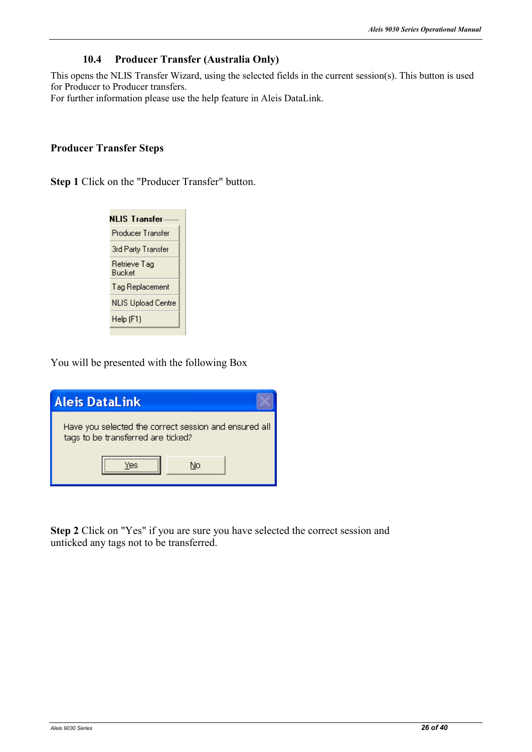#### **10.4 Producer Transfer (Australia Only)**

This opens the NLIS Transfer Wizard, using the selected fields in the current session(s). This button is used for Producer to Producer transfers.

For further information please use the help feature in Aleis DataLink.

#### **Producer Transfer Steps**

**Step 1** Click on the "Producer Transfer" button.



You will be presented with the following Box

| <b>Aleis DataLink</b>                                                                       |
|---------------------------------------------------------------------------------------------|
| Have you selected the correct session and ensured all<br>tags to be transferred are ticked? |
| Nο                                                                                          |

**Step 2** Click on "Yes" if you are sure you have selected the correct session and unticked any tags not to be transferred.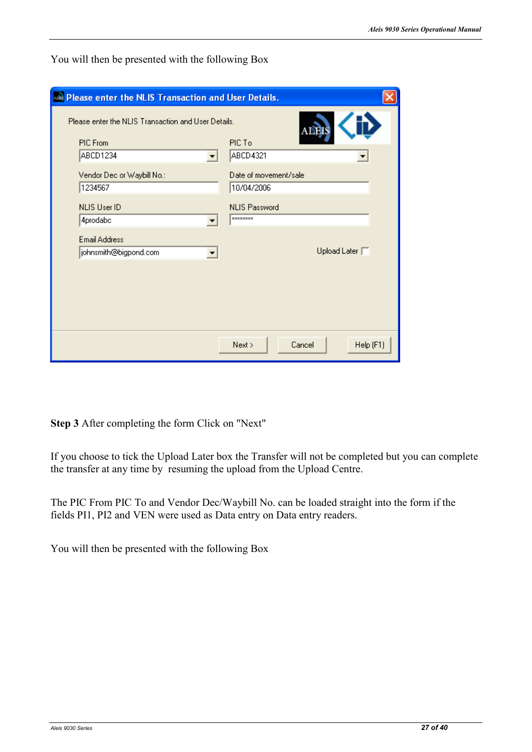| <b>Dlease enter the NLIS Transaction and User Details.</b>      |                                         |
|-----------------------------------------------------------------|-----------------------------------------|
| Please enter the NLIS Transaction and User Details.<br>PIC From | ADEIS<br>PIC To                         |
| ABCD1234<br>▼                                                   | <b>ABCD4321</b>                         |
| Vendor Dec or Waybill No.:<br>1234567                           | Date of movement/sale<br>10/04/2006     |
| <b>NLIS User ID</b><br>4prodabc                                 | <b>NLIS Password</b><br><b>xxxxxxxx</b> |
| <b>Email Address</b><br>johnsmith@bigpond.com                   | Upload Later $\Box$                     |
|                                                                 |                                         |
|                                                                 |                                         |
|                                                                 |                                         |
|                                                                 | Next ><br>Cancel<br>Help (F1)           |

You will then be presented with the following Box

**Step 3** After completing the form Click on "Next"

If you choose to tick the Upload Later box the Transfer will not be completed but you can complete the transfer at any time by resuming the upload from the Upload Centre.

The PIC From PIC To and Vendor Dec/Waybill No. can be loaded straight into the form if the fields PI1, PI2 and VEN were used as Data entry on Data entry readers.

You will then be presented with the following Box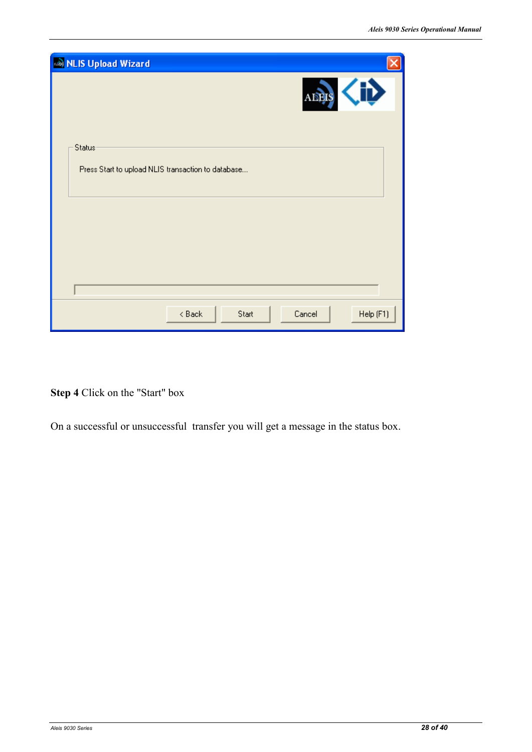| MLIS Upload Wizard                                           |
|--------------------------------------------------------------|
| ADEIS                                                        |
| Status<br>Press Start to upload NLIS transaction to database |
|                                                              |
|                                                              |
| Help (F1)<br>Cancel<br>$8$ Back<br>Start                     |

**Step 4** Click on the "Start" box

On a successful or unsuccessful transfer you will get a message in the status box.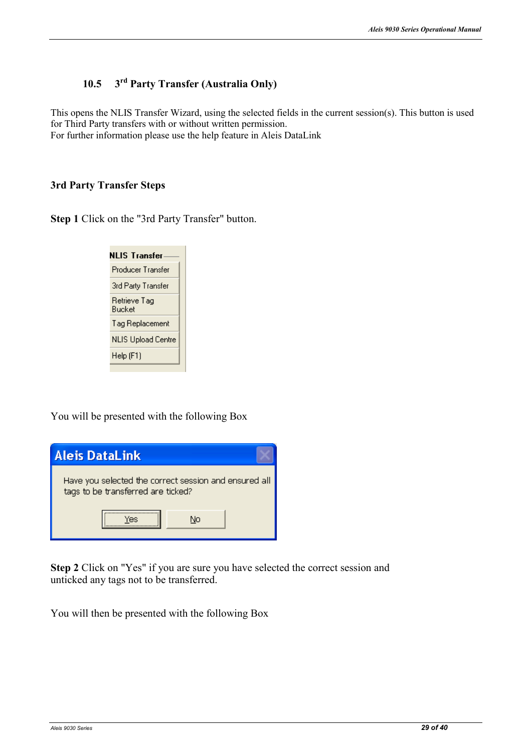#### **10.5 3rd Party Transfer (Australia Only)**

This opens the NLIS Transfer Wizard, using the selected fields in the current session(s). This button is used for Third Party transfers with or without written permission. For further information please use the help feature in Aleis DataLink

#### **3rd Party Transfer Steps**

**Step 1** Click on the "3rd Party Transfer" button.

| NLIS Transfer          |  |
|------------------------|--|
| Producer Transfer      |  |
| 3rd Party Transfer     |  |
| Retrieve Tag<br>Bucket |  |
| Tag Replacement        |  |
| NLIS Upload Centre     |  |
| Help (F1)              |  |
|                        |  |

You will be presented with the following Box



**Step 2** Click on "Yes" if you are sure you have selected the correct session and unticked any tags not to be transferred.

You will then be presented with the following Box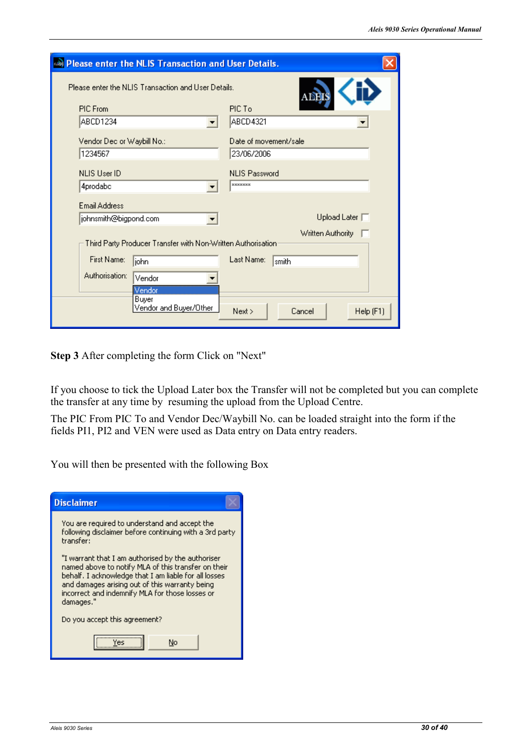| <b>Dlease enter the NLIS Transaction and User Details.</b>          |                                         |
|---------------------------------------------------------------------|-----------------------------------------|
| Please enter the NLIS Transaction and User Details.<br><b>ABEIS</b> |                                         |
| PIC From                                                            | PIC To                                  |
| ABCD1234                                                            | ABCD4321                                |
| Vendor Dec or Waybill No.:<br>1234567                               | Date of movement/sale<br>23/06/2006     |
| <b>NLIS User ID</b><br>4prodabc                                     | <b>NLIS Password</b><br><b>xxxxxxxx</b> |
| Email Address<br>johnsmith@bigpond.com                              | Upload Later $\Box$                     |
| Third Party Producer Transfer with Non-Written Authorisation:       | Written Authority □                     |
| First Name:<br> john                                                | Last Name:<br>smith                     |
| Authorisation:<br>Vendor<br>Vendor                                  |                                         |
| Buyer<br>Vendor and Buyer/Other                                     | Cancel<br>Help (F1)<br>Next             |

**Step 3** After completing the form Click on "Next"

If you choose to tick the Upload Later box the Transfer will not be completed but you can complete the transfer at any time by resuming the upload from the Upload Centre.

The PIC From PIC To and Vendor Dec/Waybill No. can be loaded straight into the form if the fields PI1, PI2 and VEN were used as Data entry on Data entry readers.

You will then be presented with the following Box

| <b>Disclaimer</b>                                                                                                                                                                                                                                                                   |  |
|-------------------------------------------------------------------------------------------------------------------------------------------------------------------------------------------------------------------------------------------------------------------------------------|--|
| You are required to understand and accept the<br>following disclaimer before continuing with a 3rd party<br>transfer:                                                                                                                                                               |  |
| "I warrant that I am authorised by the authoriser<br>named above to notify MLA of this transfer on their<br>behalf. I acknowledge that I am liable for all losses<br>and damages arising out of this warranty being<br>incorrect and indemnify MLA for those losses or<br>damages." |  |
| Do you accept this agreement?                                                                                                                                                                                                                                                       |  |
| Ves<br>No                                                                                                                                                                                                                                                                           |  |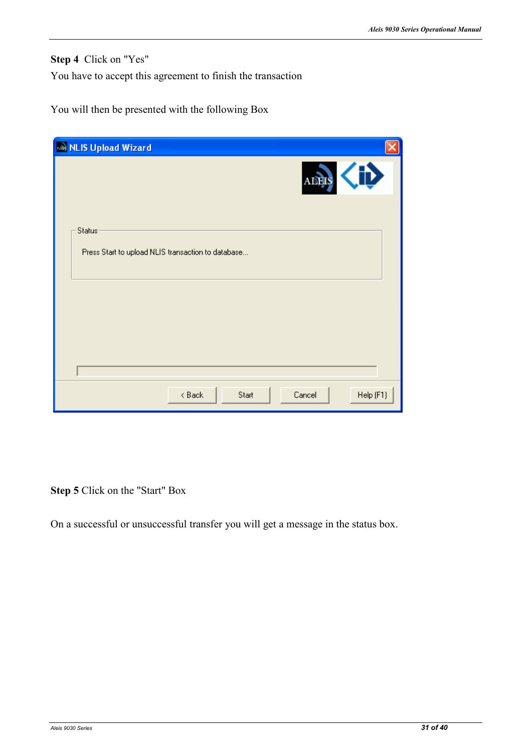**Step 4** Click on "Yes"

You have to accept this agreement to finish the transaction

You will then be presented with the following Box

| MLIS Upload Wizard                                           |                          |
|--------------------------------------------------------------|--------------------------|
|                                                              | $\ddot{\bm{v}}$<br>ADEIS |
| Status<br>Press Start to upload NLIS transaction to database |                          |
|                                                              |                          |
|                                                              |                          |
| $8$ Back<br>Start                                            | Help (F1)<br>Cancel      |

**Step 5** Click on the "Start" Box

On a successful or unsuccessful transfer you will get a message in the status box.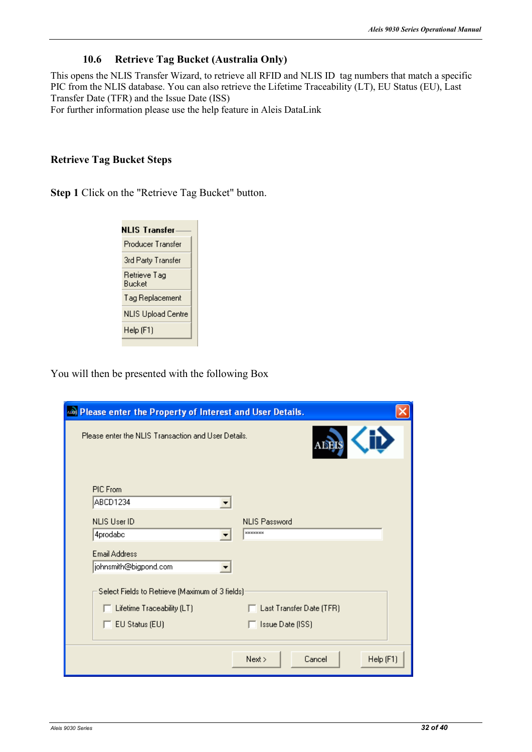#### **10.6 Retrieve Tag Bucket (Australia Only)**

This opens the NLIS Transfer Wizard, to retrieve all RFID and NLIS ID tag numbers that match a specific PIC from the NLIS database. You can also retrieve the Lifetime Traceability (LT), EU Status (EU), Last Transfer Date (TFR) and the Issue Date (ISS)

For further information please use the help feature in Aleis DataLink

#### **Retrieve Tag Bucket Steps**

**Step 1** Click on the "Retrieve Tag Bucket" button.



You will then be presented with the following Box

| Rease enter the Property of Interest and User Details. |                               |
|--------------------------------------------------------|-------------------------------|
| Please enter the NLIS Transaction and User Details.    | ADEIS                         |
| PIC From<br>ABCD1234<br><b>NLIS User ID</b>            | <b>NLIS Password</b>          |
| 4prodabc                                               | <b>xxxxxxxx</b>               |
| Email Address                                          |                               |
| johnsmith@bigpond.com                                  |                               |
| Select Fields to Retrieve (Maximum of 3 fields):       |                               |
| $\Box$ Lifetime Traceability (LT)                      | Last Transfer Date (TFR)      |
| $\Box$ EU Status (EU)                                  | <b>Issue Date (ISS)</b>       |
|                                                        | Help (F1)<br>Next ><br>Cancel |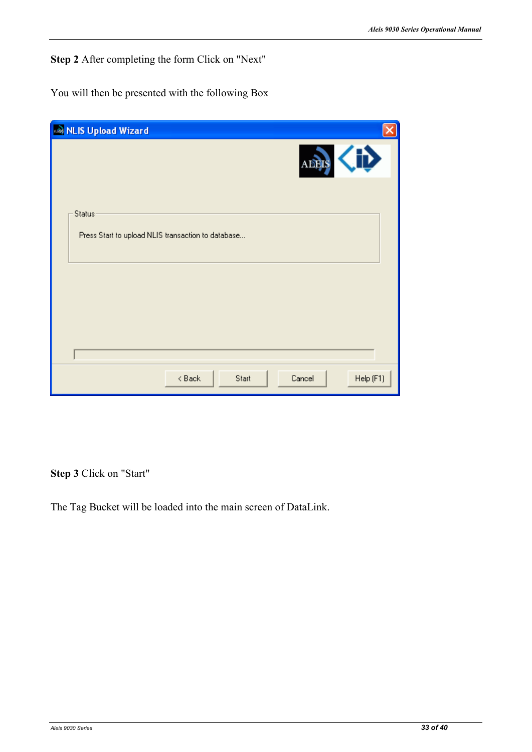**Step 2** After completing the form Click on "Next"

You will then be presented with the following Box

| MLIS Upload Wizard                                           |
|--------------------------------------------------------------|
| <b>ALEIS</b>                                                 |
| Status<br>Press Start to upload NLIS transaction to database |
|                                                              |
|                                                              |
| Help (F1)<br>Cancel<br>$8$ Back<br>Start                     |

**Step 3** Click on "Start"

The Tag Bucket will be loaded into the main screen of DataLink.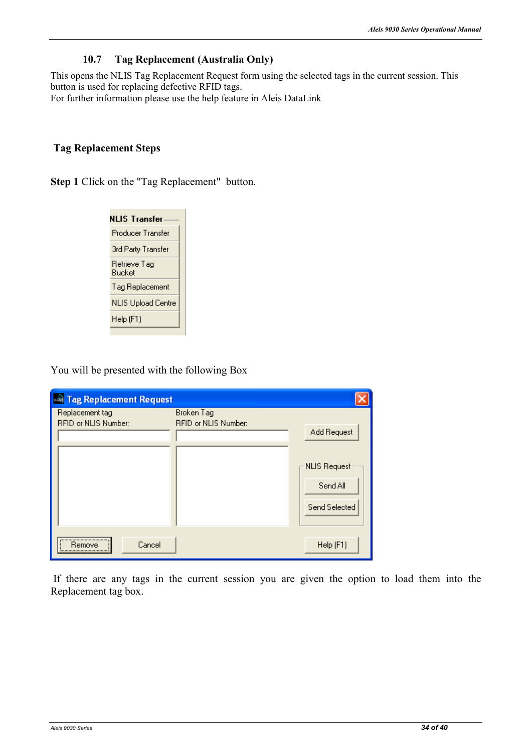#### **10.7 Tag Replacement (Australia Only)**

This opens the NLIS Tag Replacement Request form using the selected tags in the current session. This button is used for replacing defective RFID tags.

For further information please use the help feature in Aleis DataLink

#### **Tag Replacement Steps**

**Step 1** Click on the "Tag Replacement" button.



You will be presented with the following Box

| <b>Base Tag Replacement Request</b>     |                                           |                                                          |
|-----------------------------------------|-------------------------------------------|----------------------------------------------------------|
| Replacement tag<br>RFID or NLIS Number: | Broken Tag<br><b>RFID or NLIS Number:</b> | Add Request<br>NLIS Request<br>Send All<br>Send Selected |
| <br>Cancel<br>Remove                    |                                           | Help (F1)                                                |

 If there are any tags in the current session you are given the option to load them into the Replacement tag box.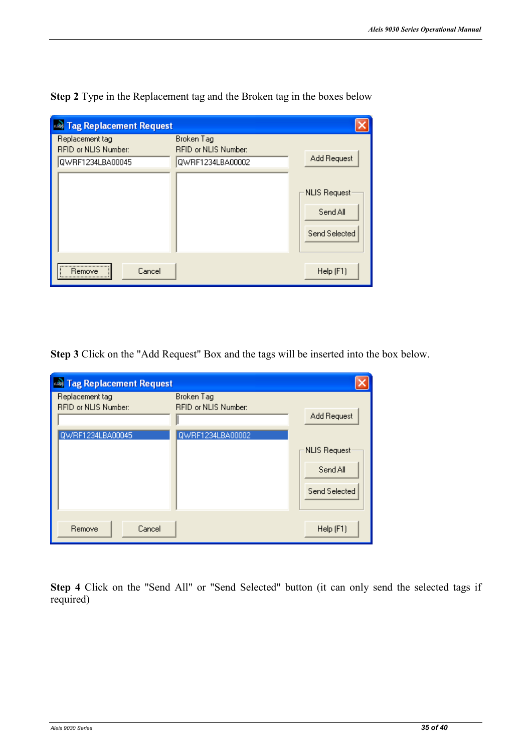| <b>Base Tag Replacement Request</b>     |                                           |                     |
|-----------------------------------------|-------------------------------------------|---------------------|
| Replacement tag<br>RFID or NLIS Number: | Broken Tag<br><b>RFID or NLIS Number:</b> |                     |
| QWRF1234LBA00045                        | QWRF1234LBA00002                          | Add Request         |
|                                         |                                           | <b>NLIS Request</b> |
|                                         |                                           | Send All            |
|                                         |                                           | Send Selected       |
| <br>Cancel<br>Remove                    |                                           | Help (F1)           |

**Step 2** Type in the Replacement tag and the Broken tag in the boxes below

**Step 3** Click on the "Add Request" Box and the tags will be inserted into the box below.

| <b>As Tag Replacement Request</b>                           |                                                               |                                                |
|-------------------------------------------------------------|---------------------------------------------------------------|------------------------------------------------|
| Replacement tag<br>RFID or NLIS Number:<br>QWRF1234LBA00045 | Broken Tag<br><b>RFID or NLIS Number:</b><br>QWRF1234LBA00002 | Add Request<br><b>NLIS Request</b><br>Send All |
| Cancel<br>Remove                                            |                                                               | Send Selected<br>Help (F1)                     |

**Step 4** Click on the "Send All" or "Send Selected" button (it can only send the selected tags if required)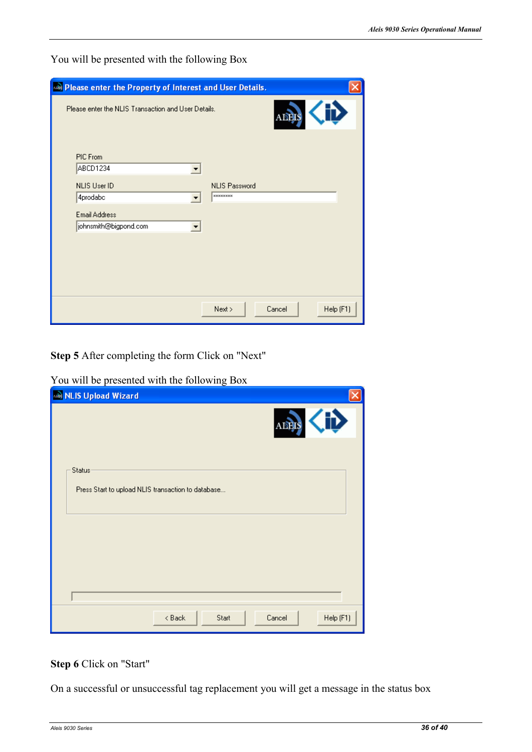You will be presented with the following Box

| Rease enter the Property of Interest and User Details. |                                          |           |
|--------------------------------------------------------|------------------------------------------|-----------|
| Please enter the NLIS Transaction and User Details.    | <b>ADEIS</b>                             |           |
| PIC From<br>ABCD1234<br>NLIS User ID<br>4prodabc       | <b>NLIS Password</b><br><b>xxxxxxxxx</b> |           |
| <b>Email Address</b><br>johnsmith@bigpond.com<br>▼     |                                          |           |
|                                                        |                                          |           |
|                                                        | Next ><br>Cancel                         | Help (F1) |

**Step 5** After completing the form Click on "Next"

You will be presented with the following Box

| MLIS Upload Wizard                                 |                     |
|----------------------------------------------------|---------------------|
|                                                    | ADEIS               |
| Status:                                            |                     |
| Press Start to upload NLIS transaction to database |                     |
|                                                    |                     |
|                                                    |                     |
|                                                    |                     |
| $8$ Back<br>Start                                  | Help (F1)<br>Cancel |

#### **Step 6** Click on "Start"

On a successful or unsuccessful tag replacement you will get a message in the status box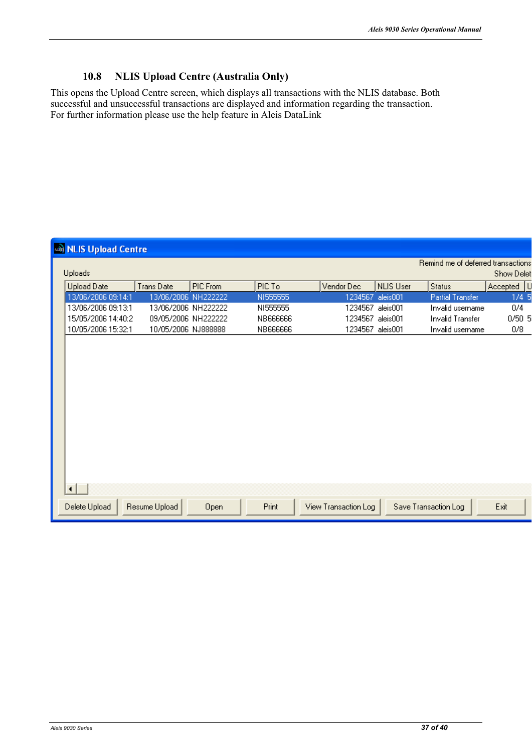#### 10.8 **NLIS Upload Centre (Australia Only)**

This opens the Upload Centre screen, which displays all transactions with the NLIS database. Both successful and unsuccessful transactions are displayed and information regarding the transaction. For further information please use the help feature in Aleis DataLink

| <b>AS NLIS Upload Centre</b> |                     |          |  |          |  |                      |                  |  |                                    |            |  |
|------------------------------|---------------------|----------|--|----------|--|----------------------|------------------|--|------------------------------------|------------|--|
| Uploads                      |                     |          |  |          |  |                      |                  |  | Remind me of deferred transactions | Show Delet |  |
| Upload Date                  | <b>TransDate</b>    | PIC From |  | PIC To   |  | Vendor Dec           | <b>NLIS User</b> |  | Status                             | Accepted U |  |
| 13/06/2006 09:14:1           | 13/06/2006 NH222222 |          |  | NI555555 |  | 1234567              | aleis001         |  | <b>Partial Transfer</b>            | 1/45       |  |
| 13/06/2006 09:13:1           | 13/06/2006 NH222222 |          |  | NI555555 |  | 1234567              | aleis001         |  | Invalid username                   | 0/4        |  |
| 15/05/2006 14:40:2           | 09/05/2006 NH222222 |          |  | NB666666 |  | 1234567 aleis001     |                  |  | <b>Invalid Transfer</b>            | 0/50.5     |  |
| 10/05/2006 15:32:1           | 10/05/2006 NJ888888 |          |  | NB666666 |  | 1234567 aleis001     |                  |  | Invalid username                   | 0/8        |  |
|                              |                     |          |  |          |  |                      |                  |  |                                    |            |  |
|                              |                     |          |  |          |  |                      |                  |  |                                    |            |  |
|                              |                     |          |  |          |  |                      |                  |  |                                    |            |  |
|                              |                     |          |  |          |  |                      |                  |  |                                    |            |  |
|                              |                     |          |  |          |  |                      |                  |  |                                    |            |  |
|                              |                     |          |  |          |  |                      |                  |  |                                    |            |  |
|                              |                     |          |  |          |  |                      |                  |  |                                    |            |  |
|                              |                     |          |  |          |  |                      |                  |  |                                    |            |  |
|                              |                     |          |  |          |  |                      |                  |  |                                    |            |  |
|                              |                     |          |  |          |  |                      |                  |  |                                    |            |  |
|                              |                     |          |  |          |  |                      |                  |  |                                    |            |  |
| ◂                            |                     |          |  |          |  |                      |                  |  |                                    |            |  |
| Delete Upload                | Resume Upload       | Open     |  | Print    |  | View Transaction Log |                  |  | Save Transaction Log               | Exit       |  |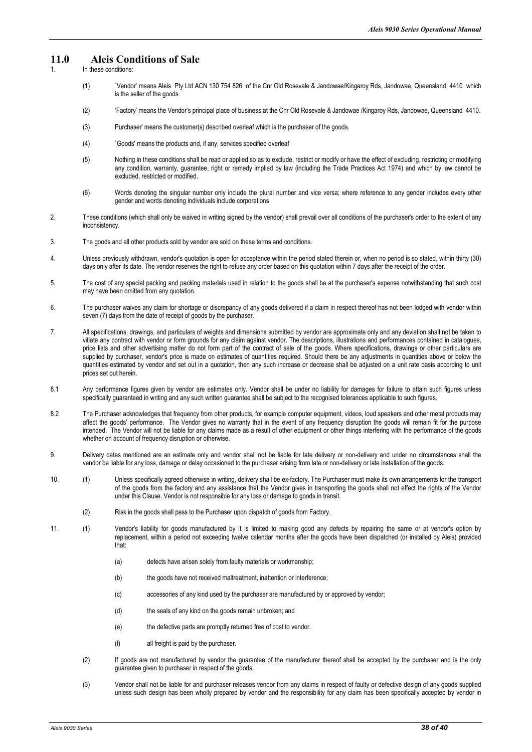#### **11.0 Aleis Conditions of Sale**

- In these conditions:
	- (1) `Vendor' means Aleis Pty Ltd ACN 130 754 826 of the Cnr Old Rosevale & Jandowae/Kingaroy Rds, Jandowae, Queensland, 4410 which is the seller of the goods
	- (2) 'Factory' means the Vendor's principal place of business at the Cnr Old Rosevale & Jandowae /Kingaroy Rds, Jandowae, Queensland 4410.
	- (3) Purchaser' means the customer(s) described overleaf which is the purchaser of the goods.
	- (4) `Goods' means the products and, if any, services specified overleaf
	- (5) Nothing in these conditions shall be read or applied so as to exclude, restrict or modify or have the effect of excluding, restricting or modifying any condition, warranty, guarantee, right or remedy implied by law (including the Trade Practices Act 1974) and which by law cannot be excluded, restricted or modified.
	- (6) Words denoting the singular number only include the plural number and vice versa; where reference to any gender includes every other gender and words denoting individuals include corporations
- 2. These conditions (which shall only be waived in writing signed by the vendor) shall prevail over all conditions of the purchaser's order to the extent of any inconsistency.
- 3. The goods and all other products sold by vendor are sold on these terms and conditions.
- 4. Unless previously withdrawn, vendor's quotation is open for acceptance within the period stated therein or, when no period is so stated, within thirty (30) days only after its date. The vendor reserves the right to refuse any order based on this quotation within 7 days after the receipt of the order.
- 5. The cost of any special packing and packing materials used in relation to the goods shall be at the purchaser's expense notwithstanding that such cost may have been omitted from any quotation.
- 6. The purchaser waives any claim for shortage or discrepancy of any goods delivered if a claim in respect thereof has not been lodged with vendor within seven (7) days from the date of receipt of goods by the purchaser.
- 7. All specifications, drawings, and particulars of weights and dimensions submitted by vendor are approximate only and any deviation shall not be taken to vitiate any contract with vendor or form grounds for any claim against vendor. The descriptions, illustrations and performances contained in catalogues, price lists and other advertising matter do not form part of the contract of sale of the goods. Where specifications, drawings or other particulars are supplied by purchaser, vendor's price is made on estimates of quantities required. Should there be any adjustments in quantities above or below the quantities estimated by vendor and set out in a quotation, then any such increase or decrease shall be adjusted on a unit rate basis according to unit prices set out herein.
- 8.1 Any performance figures given by vendor are estimates only. Vendor shall be under no liability for damages for failure to attain such figures unless specifically guaranteed in writing and any such written guarantee shall be subject to the recognised tolerances applicable to such figures.
- 8.2 The Purchaser acknowledges that frequency from other products, for example computer equipment, videos, loud speakers and other metal products may affect the goods' performance. The Vendor gives no warranty that in the event of any frequency disruption the goods will remain fit for the purpose intended. The Vendor will not be liable for any claims made as a result of other equipment or other things interfering with the performance of the goods whether on account of frequency disruption or otherwise.
- 9. Delivery dates mentioned are an estimate only and vendor shall not be liable for late delivery or non-delivery and under no circumstances shall the vendor be liable for any loss, damage or delay occasioned to the purchaser arising from late or non-delivery or late installation of the goods.
- 10. (1) Unless specifically agreed otherwise in writing, delivery shall be ex-factory. The Purchaser must make its own arrangements for the transport of the goods from the factory and any assistance that the Vendor gives in transporting the goods shall not effect the rights of the Vendor under this Clause. Vendor is not responsible for any loss or damage to goods in transit.
	- (2) Risk in the goods shall pass to the Purchaser upon dispatch of goods from Factory.
- 11. (1) Vendor's liability for goods manufactured by it is limited to making good any defects by repairing the same or at vendor's option by replacement, within a period not exceeding twelve calendar months after the goods have been dispatched (or installed by Aleis) provided that:
	- (a) defects have arisen solely from faulty materials or workmanship;
	- (b) the goods have not received maltreatment, inattention or interference;
	- (c) accessories of any kind used by the purchaser are manufactured by or approved by vendor;
	- (d) the seals of any kind on the goods remain unbroken; and
	- (e) the defective parts are promptly returned free of cost to vendor.
	- (f) all freight is paid by the purchaser.
	- (2) If goods are not manufactured by vendor the guarantee of the manufacturer thereof shall be accepted by the purchaser and is the only guarantee given to purchaser in respect of the goods.
	- (3) Vendor shall not be liable for and purchaser releases vendor from any claims in respect of faulty or defective design of any goods supplied unless such design has been wholly prepared by vendor and the responsibility for any claim has been specifically accepted by vendor in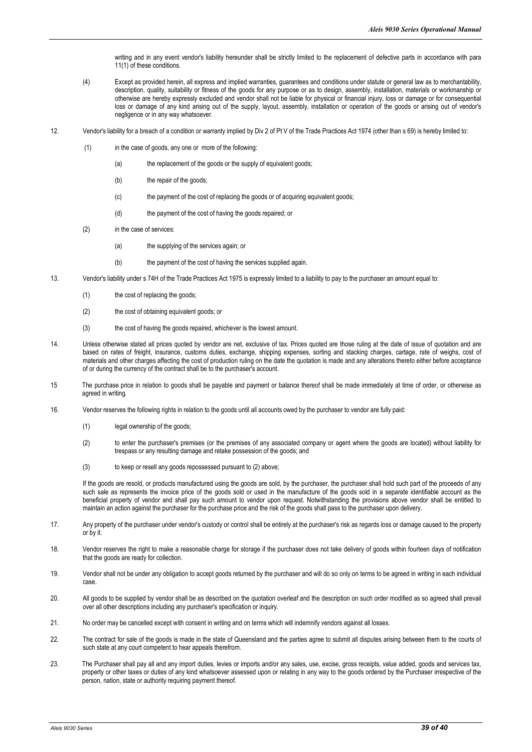writing and in any event vendor's liability hereunder shall be strictly limited to the replacement of defective parts in accordance with para 11(1) of these conditions.

- (4) Except as provided herein, all express and implied warranties, guarantees and conditions under statute or general law as to merchantability, description, quality, suitability or fitness of the goods for any purpose or as to design, assembly, installation, materials or workmanship or otherwise are hereby expressly excluded and vendor shall not be liable for physical or financial injury, loss or damage or for consequential loss or damage of any kind arising out of the supply, layout, assembly, installation or operation of the goods or arising out of vendor's negligence or in any way whatsoever.
- 12. Vendor's liability for a breach of a condition or warranty implied by Div 2 of Pt V of the Trade Practices Act 1974 (other than s 69) is hereby limited to:
	- (1) in the case of goods, any one or more of the following:
		- (a) the replacement of the goods or the supply of equivalent goods;
		- (b) the repair of the goods;
		- (c) the payment of the cost of replacing the goods or of acquiring equivalent goods;
		- (d) the payment of the cost of having the goods repaired; or
	- (2) in the case of services:
		- (a) the supplying of the services again; or
		- (b) the payment of the cost of having the services supplied again.
- 13. Vendor's liability under s 74H of the Trade Practices Act 1975 is expressly limited to a liability to pay to the purchaser an amount equal to:
	- (1) the cost of replacing the goods;
	- (2) the cost of obtaining equivalent goods; or
	- (3) the cost of having the goods repaired, whichever is the lowest amount.
- 14. Unless otherwise stated all prices quoted by vendor are net, exclusive of tax. Prices quoted are those ruling at the date of issue of quotation and are based on rates of freight, insurance, customs duties, exchange, shipping expenses, sorting and stacking charges, cartage, rate of weighs, cost of materials and other charges affecting the cost of production ruling on the date the quotation is made and any alterations thereto either before acceptance of or during the currency of the contract shall be to the purchaser's account.
- 15 The purchase price in relation to goods shall be payable and payment or balance thereof shall be made immediately at time of order, or otherwise as agreed in writing.
- 16. Vendor reserves the following rights in relation to the goods until all accounts owed by the purchaser to vendor are fully paid:
	- (1) legal ownership of the goods:
	- (2) to enter the purchaser's premises (or the premises of any associated company or agent where the goods are located) without liability for trespass or any resulting damage and retake possession of the goods; and
	- (3) to keep or resell any goods repossessed pursuant to (2) above;

If the goods are resold, or products manufactured using the goods are sold, by the purchaser, the purchaser shall hold such part of the proceeds of any such sale as represents the invoice price of the goods sold or used in the manufacture of the goods sold in a separate identifiable account as the beneficial property of vendor and shall pay such amount to vendor upon request. Notwithstanding the provisions above vendor shall be entitled to maintain an action against the purchaser for the purchase price and the risk of the goods shall pass to the purchaser upon delivery.

- 17. Any property of the purchaser under vendor's custody or control shall be entirely at the purchaser's risk as regards loss or damage caused to the property or by it.
- 18. Vendor reserves the right to make a reasonable charge for storage if the purchaser does not take delivery of goods within fourteen days of notification that the goods are ready for collection.
- 19. Vendor shall not be under any obligation to accept goods returned by the purchaser and will do so only on terms to be agreed in writing in each individual case.
- 20. All goods to be supplied by vendor shall be as described on the quotation overleaf and the description on such order modified as so agreed shall prevail over all other descriptions including any purchaser's specification or inquiry.
- 21. No order may be cancelled except with consent in writing and on terms which will indemnify vendors against all losses.
- 22. The contract for sale of the goods is made in the state of Queensland and the parties agree to submit all disputes arising between them to the courts of such state at any court competent to hear appeals therefrom.
- 23. The Purchaser shall pay all and any import duties, levies or imports and/or any sales, use, excise, gross receipts, value added, goods and services tax, property or other taxes or duties of any kind whatsoever assessed upon or relating in any way to the goods ordered by the Purchaser irrespective of the person, nation, state or authority requiring payment thereof.